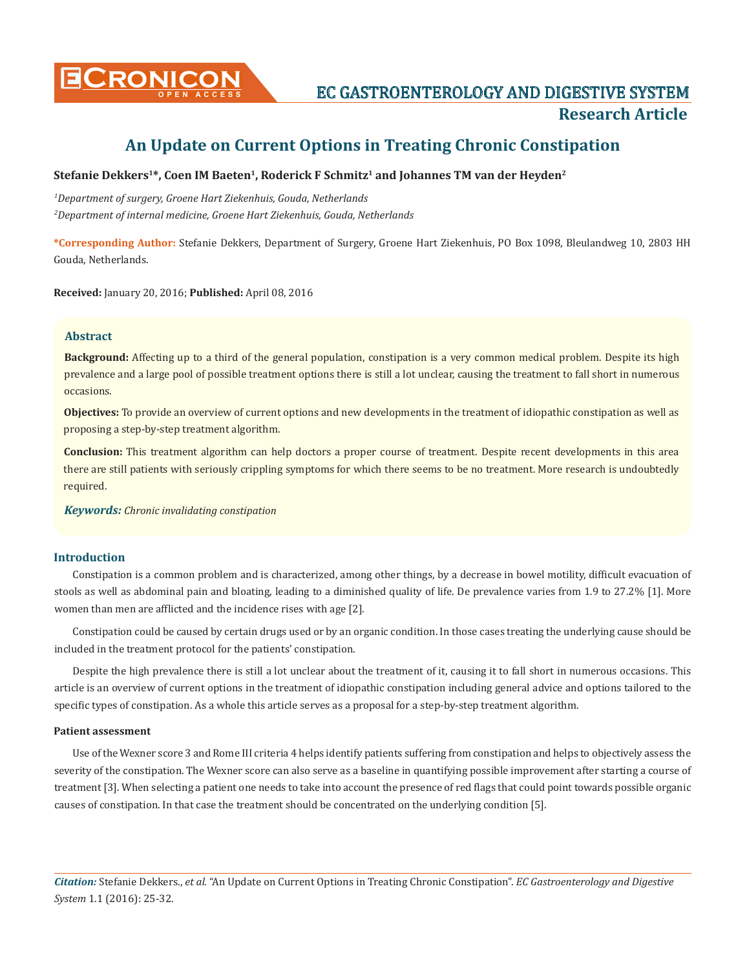

# **CRONICON** EC GASTROENTEROLOGY AND DIGESTIVE SYSTEM **Research Article**

# **An Update on Current Options in Treating Chronic Constipation**

# Stefanie Dekkers<sup>1\*</sup>, Coen IM Baeten<sup>1</sup>, Roderick F Schmitz<sup>1</sup> and Johannes TM van der Heyden<sup>2</sup>

*1 Department of surgery, Groene Hart Ziekenhuis, Gouda, Netherlands 2 Department of internal medicine, Groene Hart Ziekenhuis, Gouda, Netherlands*

**\*Corresponding Author:** Stefanie Dekkers, Department of Surgery, Groene Hart Ziekenhuis, PO Box 1098, Bleulandweg 10, 2803 HH Gouda, Netherlands.

**Received:** January 20, 2016; **Published:** April 08, 2016

# **Abstract**

**Background:** Affecting up to a third of the general population, constipation is a very common medical problem. Despite its high prevalence and a large pool of possible treatment options there is still a lot unclear, causing the treatment to fall short in numerous occasions.

**Objectives:** To provide an overview of current options and new developments in the treatment of idiopathic constipation as well as proposing a step-by-step treatment algorithm.

**Conclusion:** This treatment algorithm can help doctors a proper course of treatment. Despite recent developments in this area there are still patients with seriously crippling symptoms for which there seems to be no treatment. More research is undoubtedly required.

*Keywords: Chronic invalidating constipation* 

# **Introduction**

Constipation is a common problem and is characterized, among other things, by a decrease in bowel motility, difficult evacuation of stools as well as abdominal pain and bloating, leading to a diminished quality of life. De prevalence varies from 1.9 to 27.2% [1]. More women than men are afflicted and the incidence rises with age [2].

Constipation could be caused by certain drugs used or by an organic condition. In those cases treating the underlying cause should be included in the treatment protocol for the patients' constipation.

Despite the high prevalence there is still a lot unclear about the treatment of it, causing it to fall short in numerous occasions. This article is an overview of current options in the treatment of idiopathic constipation including general advice and options tailored to the specific types of constipation. As a whole this article serves as a proposal for a step-by-step treatment algorithm.

#### **Patient assessment**

Use of the Wexner score 3 and Rome III criteria 4 helps identify patients suffering from constipation and helps to objectively assess the severity of the constipation. The Wexner score can also serve as a baseline in quantifying possible improvement after starting a course of treatment [3]. When selecting a patient one needs to take into account the presence of red flags that could point towards possible organic causes of constipation. In that case the treatment should be concentrated on the underlying condition [5].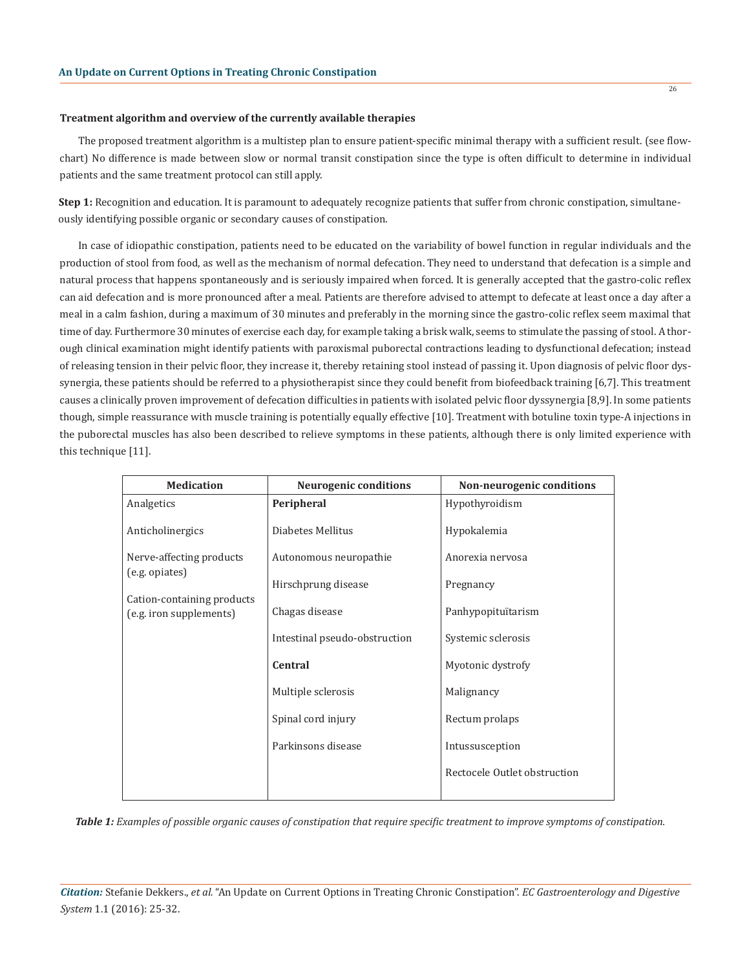#### **Treatment algorithm and overview of the currently available therapies**

The proposed treatment algorithm is a multistep plan to ensure patient-specific minimal therapy with a sufficient result. (see flowchart) No difference is made between slow or normal transit constipation since the type is often difficult to determine in individual patients and the same treatment protocol can still apply.

**Step 1:** Recognition and education. It is paramount to adequately recognize patients that suffer from chronic constipation, simultaneously identifying possible organic or secondary causes of constipation.

In case of idiopathic constipation, patients need to be educated on the variability of bowel function in regular individuals and the production of stool from food, as well as the mechanism of normal defecation. They need to understand that defecation is a simple and natural process that happens spontaneously and is seriously impaired when forced. It is generally accepted that the gastro-colic reflex can aid defecation and is more pronounced after a meal. Patients are therefore advised to attempt to defecate at least once a day after a meal in a calm fashion, during a maximum of 30 minutes and preferably in the morning since the gastro-colic reflex seem maximal that time of day. Furthermore 30 minutes of exercise each day, for example taking a brisk walk, seems to stimulate the passing of stool. A thorough clinical examination might identify patients with paroxismal puborectal contractions leading to dysfunctional defecation; instead of releasing tension in their pelvic floor, they increase it, thereby retaining stool instead of passing it. Upon diagnosis of pelvic floor dyssynergia, these patients should be referred to a physiotherapist since they could benefit from biofeedback training [6,7]. This treatment causes a clinically proven improvement of defecation difficulties in patients with isolated pelvic floor dyssynergia [8,9]. In some patients though, simple reassurance with muscle training is potentially equally effective [10]. Treatment with botuline toxin type-A injections in the puborectal muscles has also been described to relieve symptoms in these patients, although there is only limited experience with this technique [11].

| <b>Medication</b>                                                                                   | <b>Neurogenic conditions</b>  | Non-neurogenic conditions    |
|-----------------------------------------------------------------------------------------------------|-------------------------------|------------------------------|
| Analgetics                                                                                          | Peripheral                    | Hypothyroidism               |
| Anticholinergics                                                                                    | Diabetes Mellitus             | Hypokalemia                  |
| Nerve-affecting products<br>(e.g. opiates)<br>Cation-containing products<br>(e.g. iron supplements) | Autonomous neuropathie        | Anorexia nervosa             |
|                                                                                                     | Hirschprung disease           | Pregnancy                    |
|                                                                                                     | Chagas disease                | Panhypopituïtarism           |
|                                                                                                     | Intestinal pseudo-obstruction | Systemic sclerosis           |
|                                                                                                     | <b>Central</b>                | Myotonic dystrofy            |
|                                                                                                     | Multiple sclerosis            | Malignancy                   |
|                                                                                                     | Spinal cord injury            | Rectum prolaps               |
|                                                                                                     | Parkinsons disease            | Intussusception              |
|                                                                                                     |                               | Rectocele Outlet obstruction |
|                                                                                                     |                               |                              |

*Table 1: Examples of possible organic causes of constipation that require specific treatment to improve symptoms of constipation.*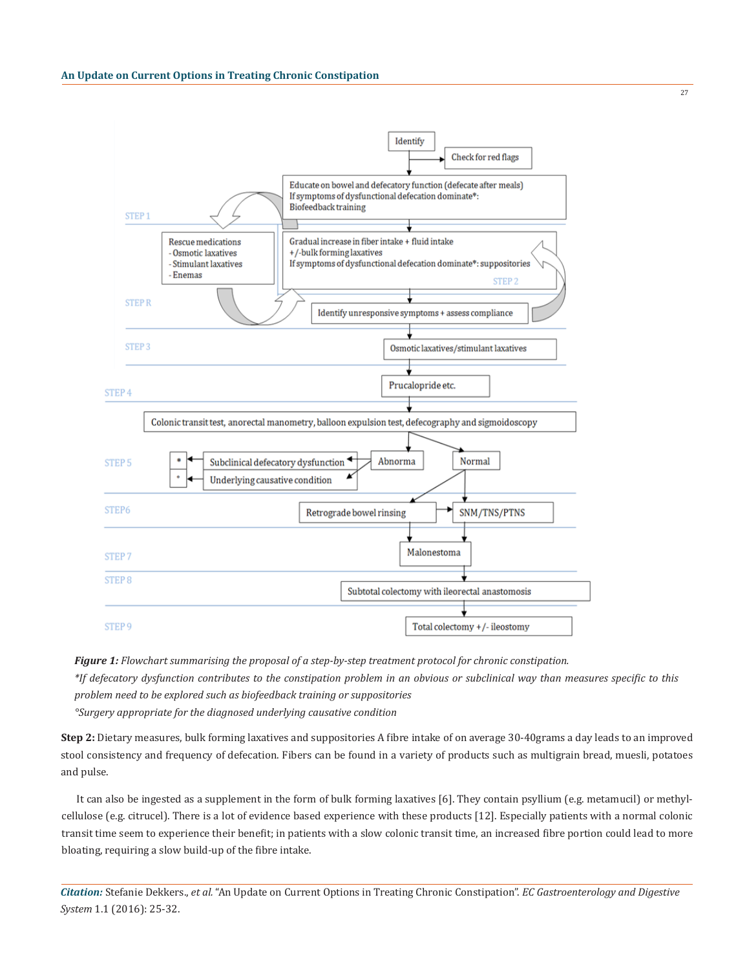

*Figure 1: Flowchart summarising the proposal of a step-by-step treatment protocol for chronic constipation.*

*\*If defecatory dysfunction contributes to the constipation problem in an obvious or subclinical way than measures specific to this problem need to be explored such as biofeedback training or suppositories*

*°Surgery appropriate for the diagnosed underlying causative condition*

**Step 2:** Dietary measures, bulk forming laxatives and suppositories A fibre intake of on average 30-40grams a day leads to an improved stool consistency and frequency of defecation. Fibers can be found in a variety of products such as multigrain bread, muesli, potatoes and pulse.

It can also be ingested as a supplement in the form of bulk forming laxatives [6]. They contain psyllium (e.g. metamucil) or methylcellulose (e.g. citrucel). There is a lot of evidence based experience with these products [12]. Especially patients with a normal colonic transit time seem to experience their benefit; in patients with a slow colonic transit time, an increased fibre portion could lead to more bloating, requiring a slow build-up of the fibre intake.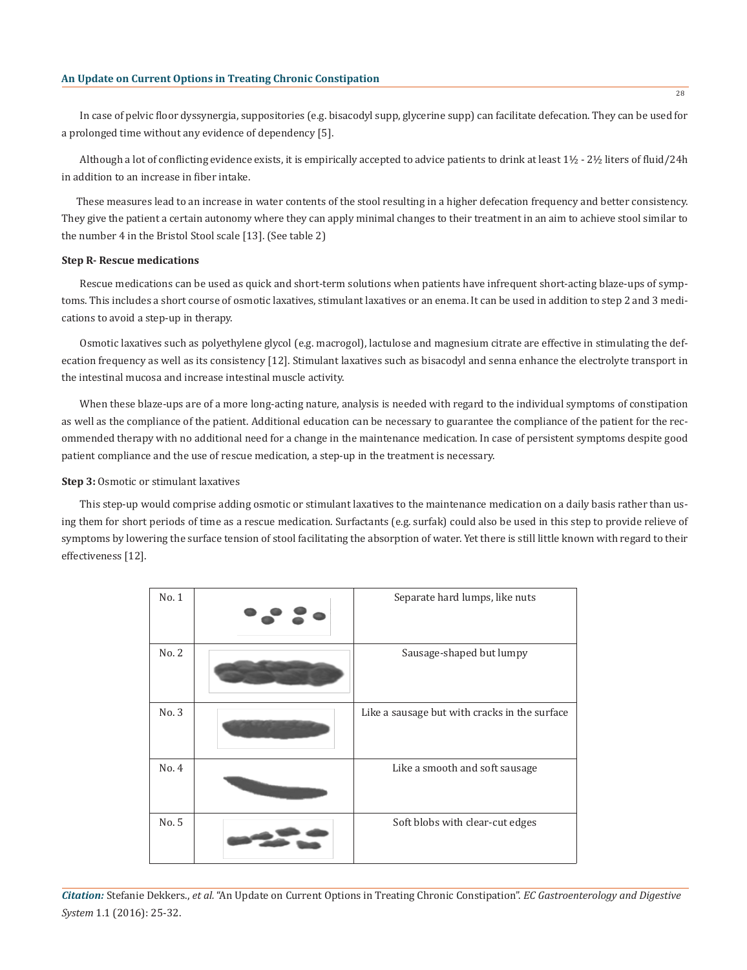In case of pelvic floor dyssynergia, suppositories (e.g. bisacodyl supp, glycerine supp) can facilitate defecation. They can be used for a prolonged time without any evidence of dependency [5].

Although a lot of conflicting evidence exists, it is empirically accepted to advice patients to drink at least 1½ - 2½ liters of fluid/24h in addition to an increase in fiber intake.

These measures lead to an increase in water contents of the stool resulting in a higher defecation frequency and better consistency. They give the patient a certain autonomy where they can apply minimal changes to their treatment in an aim to achieve stool similar to the number 4 in the Bristol Stool scale [13]. (See table 2)

#### **Step R- Rescue medications**

Rescue medications can be used as quick and short-term solutions when patients have infrequent short-acting blaze-ups of symptoms. This includes a short course of osmotic laxatives, stimulant laxatives or an enema. It can be used in addition to step 2 and 3 medications to avoid a step-up in therapy.

Osmotic laxatives such as polyethylene glycol (e.g. macrogol), lactulose and magnesium citrate are effective in stimulating the defecation frequency as well as its consistency [12]. Stimulant laxatives such as bisacodyl and senna enhance the electrolyte transport in the intestinal mucosa and increase intestinal muscle activity.

When these blaze-ups are of a more long-acting nature, analysis is needed with regard to the individual symptoms of constipation as well as the compliance of the patient. Additional education can be necessary to guarantee the compliance of the patient for the recommended therapy with no additional need for a change in the maintenance medication. In case of persistent symptoms despite good patient compliance and the use of rescue medication, a step-up in the treatment is necessary.

#### **Step 3:** Osmotic or stimulant laxatives

This step-up would comprise adding osmotic or stimulant laxatives to the maintenance medication on a daily basis rather than using them for short periods of time as a rescue medication. Surfactants (e.g. surfak) could also be used in this step to provide relieve of symptoms by lowering the surface tension of stool facilitating the absorption of water. Yet there is still little known with regard to their effectiveness [12].

| No.1  | Separate hard lumps, like nuts                |
|-------|-----------------------------------------------|
| No. 2 | Sausage-shaped but lumpy                      |
| No. 3 | Like a sausage but with cracks in the surface |
| No. 4 | Like a smooth and soft sausage                |
| No. 5 | Soft blobs with clear-cut edges               |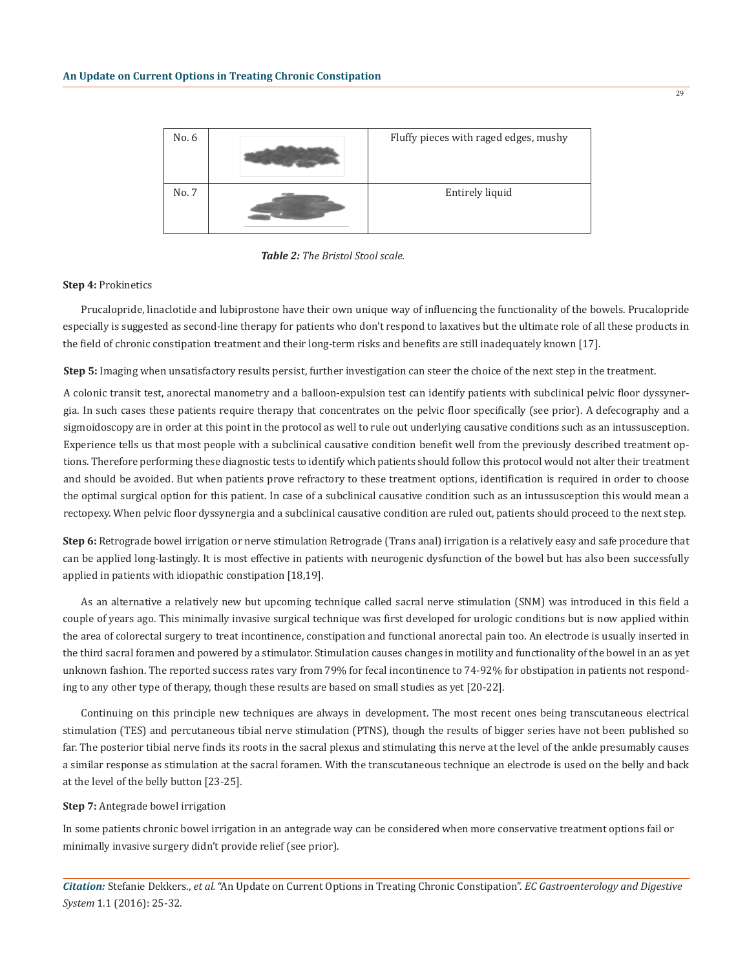

*Table 2: The Bristol Stool scale.*

#### **Step 4:** Prokinetics

Prucalopride, linaclotide and lubiprostone have their own unique way of influencing the functionality of the bowels. Prucalopride especially is suggested as second-line therapy for patients who don't respond to laxatives but the ultimate role of all these products in the field of chronic constipation treatment and their long-term risks and benefits are still inadequately known [17].

**Step 5:** Imaging when unsatisfactory results persist, further investigation can steer the choice of the next step in the treatment.

A colonic transit test, anorectal manometry and a balloon-expulsion test can identify patients with subclinical pelvic floor dyssynergia. In such cases these patients require therapy that concentrates on the pelvic floor specifically (see prior). A defecography and a sigmoidoscopy are in order at this point in the protocol as well to rule out underlying causative conditions such as an intussusception. Experience tells us that most people with a subclinical causative condition benefit well from the previously described treatment options. Therefore performing these diagnostic tests to identify which patients should follow this protocol would not alter their treatment and should be avoided. But when patients prove refractory to these treatment options, identification is required in order to choose the optimal surgical option for this patient. In case of a subclinical causative condition such as an intussusception this would mean a rectopexy. When pelvic floor dyssynergia and a subclinical causative condition are ruled out, patients should proceed to the next step.

**Step 6:** Retrograde bowel irrigation or nerve stimulation Retrograde (Trans anal) irrigation is a relatively easy and safe procedure that can be applied long-lastingly. It is most effective in patients with neurogenic dysfunction of the bowel but has also been successfully applied in patients with idiopathic constipation [18,19].

As an alternative a relatively new but upcoming technique called sacral nerve stimulation (SNM) was introduced in this field a couple of years ago. This minimally invasive surgical technique was first developed for urologic conditions but is now applied within the area of colorectal surgery to treat incontinence, constipation and functional anorectal pain too. An electrode is usually inserted in the third sacral foramen and powered by a stimulator. Stimulation causes changes in motility and functionality of the bowel in an as yet unknown fashion. The reported success rates vary from 79% for fecal incontinence to 74-92% for obstipation in patients not responding to any other type of therapy, though these results are based on small studies as yet [20-22].

Continuing on this principle new techniques are always in development. The most recent ones being transcutaneous electrical stimulation (TES) and percutaneous tibial nerve stimulation (PTNS), though the results of bigger series have not been published so far. The posterior tibial nerve finds its roots in the sacral plexus and stimulating this nerve at the level of the ankle presumably causes a similar response as stimulation at the sacral foramen. With the transcutaneous technique an electrode is used on the belly and back at the level of the belly button [23-25].

# **Step 7:** Antegrade bowel irrigation

In some patients chronic bowel irrigation in an antegrade way can be considered when more conservative treatment options fail or minimally invasive surgery didn't provide relief (see prior).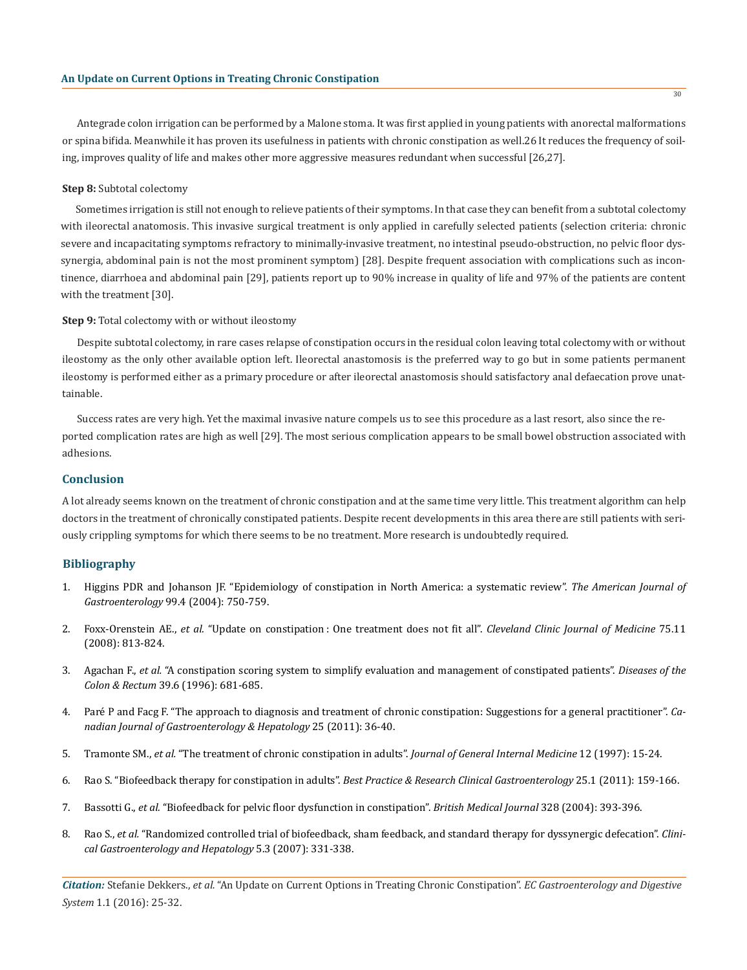Antegrade colon irrigation can be performed by a Malone stoma. It was first applied in young patients with anorectal malformations or spina bifida. Meanwhile it has proven its usefulness in patients with chronic constipation as well.26 It reduces the frequency of soiling, improves quality of life and makes other more aggressive measures redundant when successful [26,27].

#### **Step 8:** Subtotal colectomy

Sometimes irrigation is still not enough to relieve patients of their symptoms. In that case they can benefit from a subtotal colectomy with ileorectal anatomosis. This invasive surgical treatment is only applied in carefully selected patients (selection criteria: chronic severe and incapacitating symptoms refractory to minimally-invasive treatment, no intestinal pseudo-obstruction, no pelvic floor dyssynergia, abdominal pain is not the most prominent symptom) [28]. Despite frequent association with complications such as incontinence, diarrhoea and abdominal pain [29], patients report up to 90% increase in quality of life and 97% of the patients are content with the treatment [30].

#### **Step 9:** Total colectomy with or without ileostomy

Despite subtotal colectomy, in rare cases relapse of constipation occurs in the residual colon leaving total colectomy with or without ileostomy as the only other available option left. Ileorectal anastomosis is the preferred way to go but in some patients permanent ileostomy is performed either as a primary procedure or after ileorectal anastomosis should satisfactory anal defaecation prove unattainable.

Success rates are very high. Yet the maximal invasive nature compels us to see this procedure as a last resort, also since the reported complication rates are high as well [29]. The most serious complication appears to be small bowel obstruction associated with adhesions.

# **Conclusion**

A lot already seems known on the treatment of chronic constipation and at the same time very little. This treatment algorithm can help doctors in the treatment of chronically constipated patients. Despite recent developments in this area there are still patients with seriously crippling symptoms for which there seems to be no treatment. More research is undoubtedly required.

#### **Bibliography**

- 1. Higgins PDR and Johanson JF. "Epidemiology of constipation in North America: a systematic review". *The American Journal of Gastroenterology* 99.4 (2004): 750-759.
- 2. Foxx-Orenstein AE., *et al.* "Update on constipation : One treatment does not fit all". *Cleveland Clinic Journal of Medicine* 75.11 (2008): 813-824.
- 3. Agachan F., *et al.* "A constipation scoring system to simplify evaluation and management of constipated patients". *Diseases of the Colon & Rectum* 39.6 (1996): 681-685.
- 4. Paré P and Facg F. "The approach to diagnosis and treatment of chronic constipation: Suggestions for a general practitioner". *Canadian Journal of Gastroenterology & Hepatology* 25 (2011): 36-40.
- 5. Tramonte SM., *et al.* "The treatment of chronic constipation in adults". *Journal of General Internal Medicine* 12 (1997): 15-24.
- 6. Rao S. "Biofeedback therapy for constipation in adults". *Best Practice & Research Clinical Gastroenterology* 25.1 (2011): 159-166.
- 7. Bassotti G., *et al.* "Biofeedback for pelvic floor dysfunction in constipation". *British Medical Journal* 328 (2004): 393-396.
- 8. Rao S., *et al.* "Randomized controlled trial of biofeedback, sham feedback, and standard therapy for dyssynergic defecation". *Clinical Gastroenterology and Hepatology* 5.3 (2007): 331-338.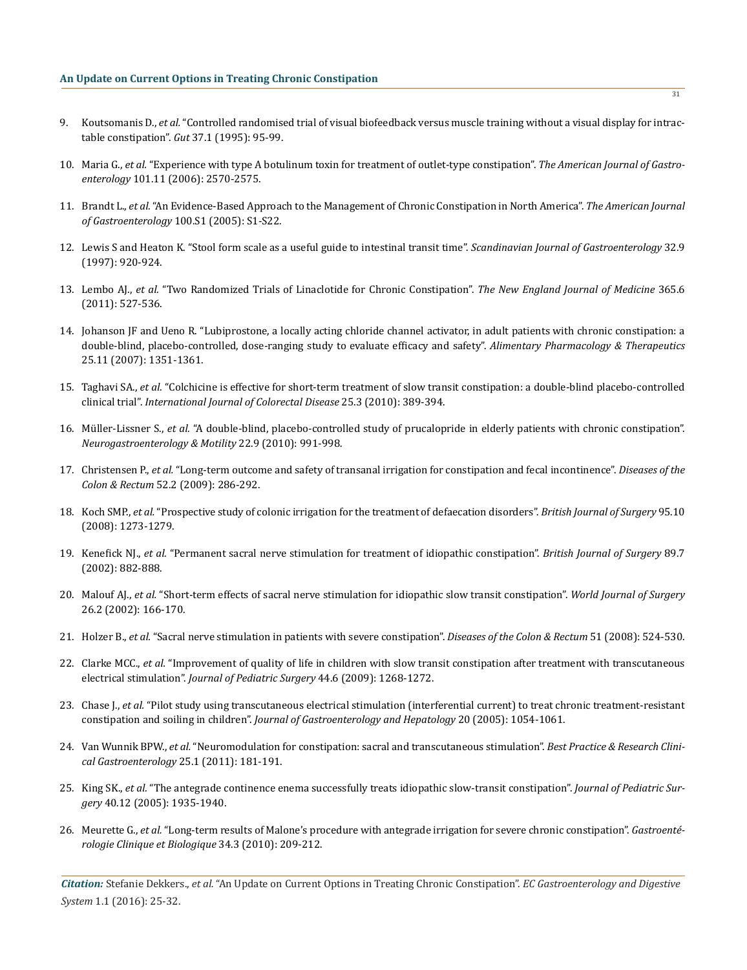- 9. Koutsomanis D., *et al.* "Controlled randomised trial of visual biofeedback versus muscle training without a visual display for intractable constipation". *Gut* 37.1 (1995): 95-99.
- 10. Maria G., *et al.* "Experience with type A botulinum toxin for treatment of outlet-type constipation". *The American Journal of Gastroenterology* 101.11 (2006): 2570-2575.
- 11. Brandt L., *et al.* "An Evidence-Based Approach to the Management of Chronic Constipation in North America". *The American Journal of Gastroenterology* 100.S1 (2005): S1-S22.
- 12. Lewis S and Heaton K. "Stool form scale as a useful guide to intestinal transit time". *Scandinavian Journal of Gastroenterology* 32.9 (1997): 920-924.
- 13. Lembo AJ., *et al.* "Two Randomized Trials of Linaclotide for Chronic Constipation". *The New England Journal of Medicine* 365.6 (2011): 527-536.
- 14. Johanson JF and Ueno R. "Lubiprostone, a locally acting chloride channel activator, in adult patients with chronic constipation: a double-blind, placebo-controlled, dose-ranging study to evaluate efficacy and safety". *Alimentary Pharmacology & Therapeutics* 25.11 (2007): 1351-1361.
- 15. Taghavi SA., *et al.* "Colchicine is effective for short-term treatment of slow transit constipation: a double-blind placebo-controlled clinical trial". *International Journal of Colorectal Disease* 25.3 (2010): 389-394.
- 16. Müller-Lissner S., *et al.* "A double-blind, placebo-controlled study of prucalopride in elderly patients with chronic constipation". *Neurogastroenterology & Motility* 22.9 (2010): 991-998.
- 17. Christensen P., *et al.* "Long-term outcome and safety of transanal irrigation for constipation and fecal incontinence". *Diseases of the Colon & Rectum* 52.2 (2009): 286-292.
- 18. Koch SMP., *et al.* "Prospective study of colonic irrigation for the treatment of defaecation disorders". *British Journal of Surgery* 95.10 (2008): 1273-1279.
- 19. Kenefick NJ., *et al.* "Permanent sacral nerve stimulation for treatment of idiopathic constipation". *British Journal of Surgery* 89.7 (2002): 882-888.
- 20. Malouf AJ., *et al.* "Short-term effects of sacral nerve stimulation for idiopathic slow transit constipation". *World Journal of Surgery* 26.2 (2002): 166-170.
- 21. Holzer B., *et al.* "Sacral nerve stimulation in patients with severe constipation". *Diseases of the Colon & Rectum* 51 (2008): 524-530.
- 22. Clarke MCC., *et al.* "Improvement of quality of life in children with slow transit constipation after treatment with transcutaneous electrical stimulation". *Journal of Pediatric Surgery* 44.6 (2009): 1268-1272.
- 23. Chase J., *et al.* "Pilot study using transcutaneous electrical stimulation (interferential current) to treat chronic treatment-resistant constipation and soiling in children". *Journal of Gastroenterology and Hepatology* 20 (2005): 1054-1061.
- 24. Van Wunnik BPW., *et al.* "Neuromodulation for constipation: sacral and transcutaneous stimulation". *Best Practice & Research Clinical Gastroenterology* 25.1 (2011): 181-191.
- 25. King SK., *et al.* "The antegrade continence enema successfully treats idiopathic slow-transit constipation". *Journal of Pediatric Surgery* 40.12 (2005): 1935-1940.
- 26. Meurette G., *et al.* "Long-term results of Malone's procedure with antegrade irrigation for severe chronic constipation". *Gastroentérologie Clinique et Biologique* 34.3 (2010): 209-212.